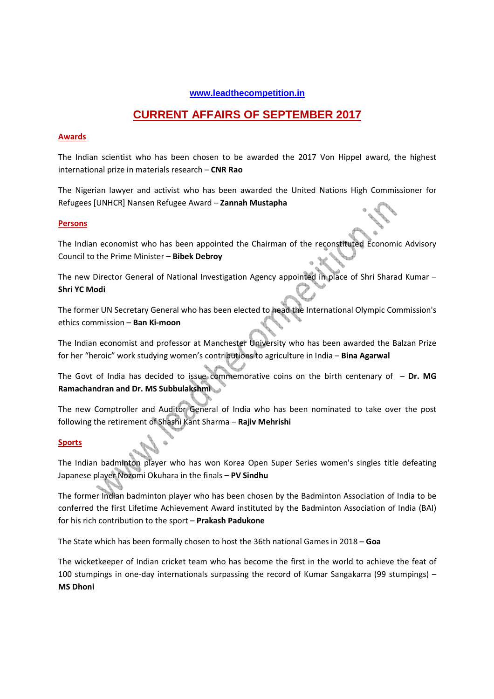# **www.leadthecompetition.in**

# **CURRENT AFFAIRS OF SEPTEMBER 2017**

# **Awards**

The Indian scientist who has been chosen to be awarded the 2017 Von Hippel award, the highest international prize in materials research – **CNR Rao**

The Nigerian lawyer and activist who has been awarded the United Nations High Commissioner for Refugees [UNHCR] Nansen Refugee Award – **Zannah Mustapha** 

# **Persons**

The Indian economist who has been appointed the Chairman of the reconstituted Economic Advisory Council to the Prime Minister – **Bibek Debroy** 

The new Director General of National Investigation Agency appointed in place of Shri Sharad Kumar – **Shri YC Modi** 

The former UN Secretary General who has been elected to head the International Olympic Commission's ethics commission – **Ban Ki-moon**

The Indian economist and professor at Manchester University who has been awarded the Balzan Prize for her "heroic" work studying women's contributions to agriculture in India – **Bina Agarwal** 

The Govt of India has decided to issue commemorative coins on the birth centenary of – **Dr. MG Ramachandran and Dr. MS Subbulakshmi** 

The new Comptroller and Auditor General of India who has been nominated to take over the post following the retirement of Shashi Kant Sharma – **Rajiv Mehrishi**

# **Sports**

The Indian badminton player who has won Korea Open Super Series women's singles title defeating Japanese player Nozomi Okuhara in the finals – **PV Sindhu**

The former Indian badminton player who has been chosen by the Badminton Association of India to be conferred the first Lifetime Achievement Award instituted by the Badminton Association of India (BAI) for his rich contribution to the sport – **Prakash Padukone** 

The State which has been formally chosen to host the 36th national Games in 2018 – **Goa** 

The wicketkeeper of Indian cricket team who has become the first in the world to achieve the feat of 100 stumpings in one-day internationals surpassing the record of Kumar Sangakarra (99 stumpings) – **MS Dhoni**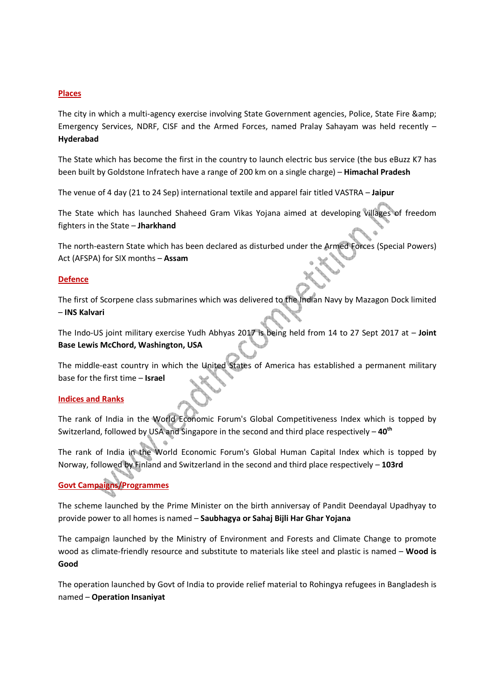# **Places**

The city in which a multi-agency exercise involving State Government agencies, Police, State Fire & Emergency Services, NDRF, CISF and the Armed Forces, named Pralay Sahayam was held recently – **Hyderabad**

The State which has become the first in the country to launch electric bus service (the bus eBuzz K7 has been built by Goldstone Infratech have a range of 200 km on a single charge) – **Himachal Pradesh**

The venue of 4 day (21 to 24 Sep) international textile and apparel fair titled VASTRA – **Jaipur**

The State which has launched Shaheed Gram Vikas Yojana aimed at developing villages of freedom fighters in the State – **Jharkhand**

The north-eastern State which has been declared as disturbed under the Armed Forces (Special Powers) Act (AFSPA) for SIX months – **Assam**

### **Defence**

The first of Scorpene class submarines which was delivered to the Indian Navy by Mazagon Dock limited – **INS Kalvari**

The Indo-US joint military exercise Yudh Abhyas 2017 is being held from 14 to 27 Sept 2017 at – **Joint Base Lewis McChord, Washington, USA**

The middle-east country in which the United States of America has established a permanent military base for the first time – **Israel** 

### **Indices and Ranks**

The rank of India in the World Economic Forum's Global Competitiveness Index which is topped by Switzerland, followed by USA and Singapore in the second and third place respectively – **40th**

The rank of India in the World Economic Forum's Global Human Capital Index which is topped by Norway, followed by Finland and Switzerland in the second and third place respectively – **103rd**

# **Govt Campaigns/Programmes**

The scheme launched by the Prime Minister on the birth anniversay of Pandit Deendayal Upadhyay to provide power to all homes is named – **Saubhagya or Sahaj Bijli Har Ghar Yojana**

The campaign launched by the Ministry of Environment and Forests and Climate Change to promote wood as climate-friendly resource and substitute to materials like steel and plastic is named – **Wood is Good**

The operation launched by Govt of India to provide relief material to Rohingya refugees in Bangladesh is named – **Operation Insaniyat**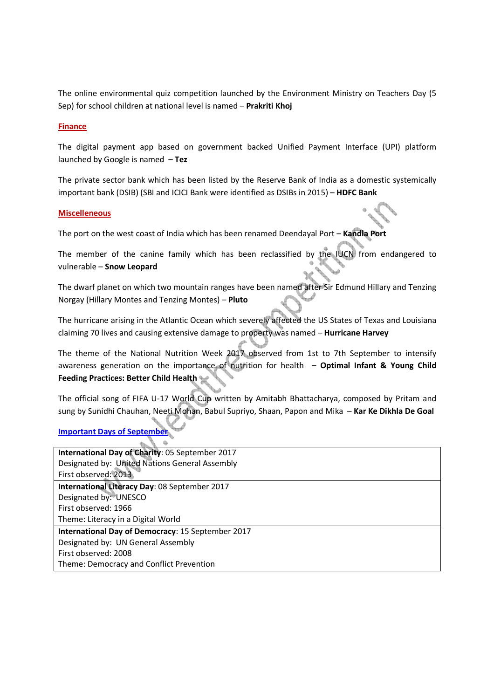The online environmental quiz competition launched by the Environment Ministry on Teachers Day (5 Sep) for school children at national level is named – **Prakriti Khoj**

### **Finance**

The digital payment app based on government backed Unified Payment Interface (UPI) platform launched by Google is named – **Tez**

The private sector bank which has been listed by the Reserve Bank of India as a domestic systemically important bank (DSIB) (SBI and ICICI Bank were identified as DSIBs in 2015) – **HDFC Bank** 

### **Miscelleneous**

The port on the west coast of India which has been renamed Deendayal Port – **Kandla Port**

The member of the canine family which has been reclassified by the IUCN from endangered to vulnerable – **Snow Leopard**

The dwarf planet on which two mountain ranges have been named after Sir Edmund Hillary and Tenzing Norgay (Hillary Montes and Tenzing Montes) – **Pluto**

The hurricane arising in the Atlantic Ocean which severely affected the US States of Texas and Louisiana claiming 70 lives and causing extensive damage to property was named – **Hurricane Harvey**

The theme of the National Nutrition Week 2017 observed from 1st to 7th September to intensify awareness generation on the importance of nutrition for health – **Optimal Infant & Young Child Feeding Practices: Better Child Health**

The official song of FIFA U-17 World Cup written by Amitabh Bhattacharya, composed by Pritam and sung by Sunidhi Chauhan, Neeti Mohan, Babul Supriyo, Shaan, Papon and Mika – **Kar Ke Dikhla De Goal**

# **Important Days of September**

| International Day of Charity: 05 September 2017   |  |  |  |
|---------------------------------------------------|--|--|--|
| Designated by: United Nations General Assembly    |  |  |  |
| First observed: 2013                              |  |  |  |
| International Literacy Day: 08 September 2017     |  |  |  |
| Designated by: UNESCO                             |  |  |  |
| First observed: 1966                              |  |  |  |
| Theme: Literacy in a Digital World                |  |  |  |
| International Day of Democracy: 15 September 2017 |  |  |  |
| Designated by: UN General Assembly                |  |  |  |
| First observed: 2008                              |  |  |  |
| Theme: Democracy and Conflict Prevention          |  |  |  |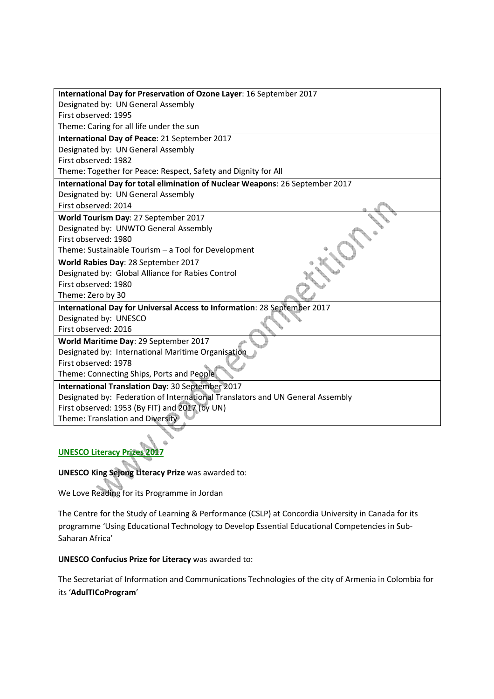| International Day for Preservation of Ozone Layer: 16 September 2017           |  |  |  |
|--------------------------------------------------------------------------------|--|--|--|
| Designated by: UN General Assembly                                             |  |  |  |
| First observed: 1995                                                           |  |  |  |
| Theme: Caring for all life under the sun                                       |  |  |  |
| International Day of Peace: 21 September 2017                                  |  |  |  |
| Designated by: UN General Assembly                                             |  |  |  |
| First observed: 1982                                                           |  |  |  |
| Theme: Together for Peace: Respect, Safety and Dignity for All                 |  |  |  |
| International Day for total elimination of Nuclear Weapons: 26 September 2017  |  |  |  |
| Designated by: UN General Assembly                                             |  |  |  |
| First observed: 2014                                                           |  |  |  |
| World Tourism Day: 27 September 2017                                           |  |  |  |
| Designated by: UNWTO General Assembly                                          |  |  |  |
| First observed: 1980                                                           |  |  |  |
| Theme: Sustainable Tourism - a Tool for Development                            |  |  |  |
| World Rabies Day: 28 September 2017                                            |  |  |  |
| Designated by: Global Alliance for Rabies Control                              |  |  |  |
| First observed: 1980                                                           |  |  |  |
| Theme: Zero by 30                                                              |  |  |  |
| International Day for Universal Access to Information: 28 September 2017       |  |  |  |
| Designated by: UNESCO                                                          |  |  |  |
| First observed: 2016                                                           |  |  |  |
| World Maritime Day: 29 September 2017                                          |  |  |  |
| Designated by: International Maritime Organisation                             |  |  |  |
| First observed: 1978                                                           |  |  |  |
| Theme: Connecting Ships, Ports and People                                      |  |  |  |
| International Translation Day: 30 September 2017                               |  |  |  |
| Designated by: Federation of International Translators and UN General Assembly |  |  |  |
| First observed: 1953 (By FIT) and 2017 (by UN)                                 |  |  |  |
| Theme: Translation and Diversity                                               |  |  |  |

# **UNESCO Literacy Prizes 2017**

**UNESCO King Sejong Literacy Prize** was awarded to:

We Love Reading for its Programme in Jordan

The Centre for the Study of Learning & Performance (CSLP) at Concordia University in Canada for its programme 'Using Educational Technology to Develop Essential Educational Competencies in Sub-Saharan Africa'

# **UNESCO Confucius Prize for Literacy** was awarded to:

The Secretariat of Information and Communications Technologies of the city of Armenia in Colombia for its '**AdulTICoProgram**'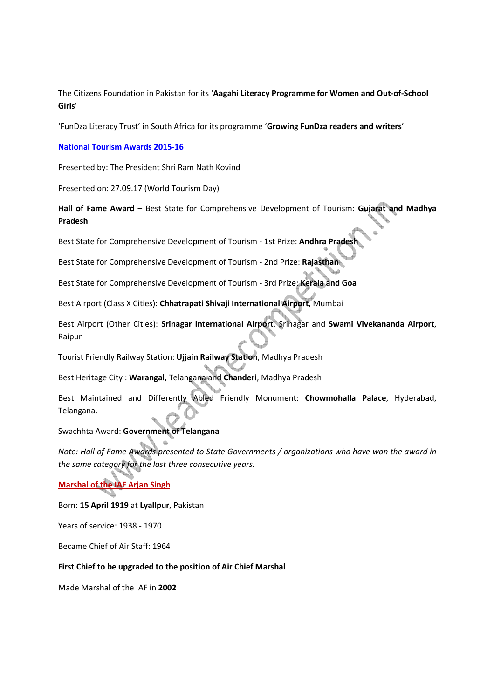The Citizens Foundation in Pakistan for its '**Aagahi Literacy Programme for Women and Out-of-School Girls**'

'FunDza Literacy Trust' in South Africa for its programme '**Growing FunDza readers and writers**'

**National Tourism Awards 2015-16**

Presented by: The President Shri Ram Nath Kovind

Presented on: 27.09.17 (World Tourism Day)

**Hall of Fame Award** – Best State for Comprehensive Development of Tourism: **Gujarat and Madhya Pradesh** 

Best State for Comprehensive Development of Tourism - 1st Prize: **Andhra Pradesh**

Best State for Comprehensive Development of Tourism - 2nd Prize: **Rajasthan**

Best State for Comprehensive Development of Tourism - 3rd Prize: **Kerala and Goa**

Best Airport (Class X Cities): **Chhatrapati Shivaji International Airport**, Mumbai

Best Airport (Other Cities): **Srinagar International Airport**, Srinagar and **Swami Vivekananda Airport**, Raipur

Tourist Friendly Railway Station: **Ujjain Railway Station**, Madhya Pradesh

Best Heritage City : **Warangal**, Telangana and **Chanderi**, Madhya Pradesh

Best Maintained and Differently Abled Friendly Monument: **Chowmohalla Palace**, Hyderabad, Telangana.

Swachhta Award: **Government of Telangana**

*Note: Hall of Fame Awards presented to State Governments / organizations who have won the award in the same category for the last three consecutive years.* 

# **Marshal of the IAF Arjan Singh**

### Born: **15 April 1919** at **Lyallpur**, Pakistan

Years of service: 1938 - 1970

Became Chief of Air Staff: 1964

### **First Chief to be upgraded to the position of Air Chief Marshal**

Made Marshal of the IAF in **2002**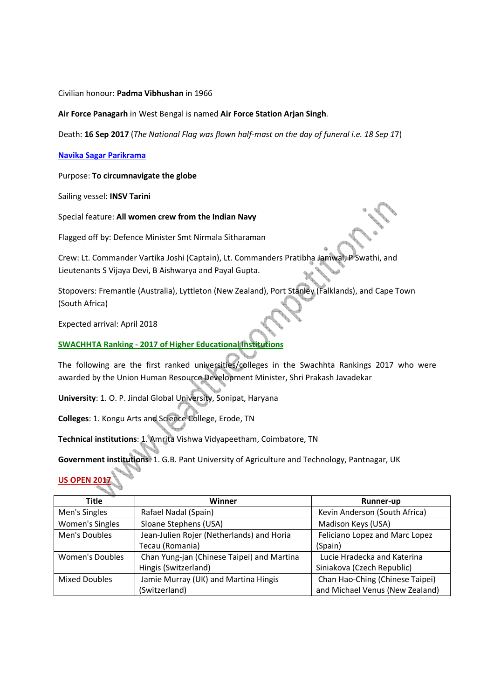### Civilian honour: **Padma Vibhushan** in 1966

**Air Force Panagarh** in West Bengal is named **Air Force Station Arjan Singh**.

Death: **16 Sep 2017** (*The National Flag was flown half-mast on the day of funeral i.e. 18 Sep 1*7)

### **Navika Sagar Parikrama**

Purpose: **To circumnavigate the globe**

Sailing vessel: **INSV Tarini**

Special feature: **All women crew from the Indian Navy** 

Flagged off by: Defence Minister Smt Nirmala Sitharaman

Crew: Lt. Commander Vartika Joshi (Captain), Lt. Commanders Pratibha Jamwal, P Swathi, and Lieutenants S Vijaya Devi, B Aishwarya and Payal Gupta.

Stopovers: Fremantle (Australia), Lyttleton (New Zealand), Port Stanley (Falklands), and Cape Town (South Africa)

Expected arrival: April 2018

# **SWACHHTA Ranking - 2017 of Higher Educational Institutions**

The following are the first ranked universities/colleges in the Swachhta Rankings 2017 who were awarded by the Union Human Resource Development Minister, Shri Prakash Javadekar

**University**: 1. O. P. Jindal Global University, Sonipat, Haryana

**Colleges**: 1. Kongu Arts and Science College, Erode, TN

**Technical institutions**: 1. Amrita Vishwa Vidyapeetham, Coimbatore, TN

**Government institutions**: 1. G.B. Pant University of Agriculture and Technology, Pantnagar, UK

# **US OPEN 20**

| Title           | Winner                                     | <b>Runner-up</b>                |
|-----------------|--------------------------------------------|---------------------------------|
| Men's Singles   | Rafael Nadal (Spain)                       | Kevin Anderson (South Africa)   |
| Women's Singles | Sloane Stephens (USA)                      | Madison Keys (USA)              |
| Men's Doubles   | Jean-Julien Rojer (Netherlands) and Horia  | Feliciano Lopez and Marc Lopez  |
|                 | Tecau (Romania)                            | (Spain)                         |
| Women's Doubles | Chan Yung-jan (Chinese Taipei) and Martina | Lucie Hradecka and Katerina     |
|                 | Hingis (Switzerland)                       | Siniakova (Czech Republic)      |
| Mixed Doubles   | Jamie Murray (UK) and Martina Hingis       | Chan Hao-Ching (Chinese Taipei) |
|                 | (Switzerland)                              | and Michael Venus (New Zealand) |